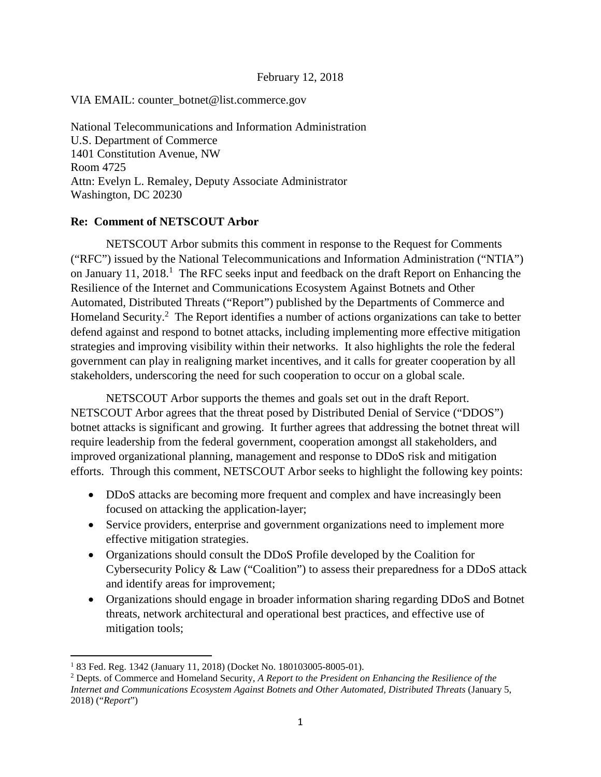#### February 12, 2018

#### VIA EMAIL: counter\_botnet@list.commerce.gov

National Telecommunications and Information Administration U.S. Department of Commerce 1401 Constitution Avenue, NW Room 4725 Attn: Evelyn L. Remaley, Deputy Associate Administrator Washington, DC 20230

#### **Re: Comment of NETSCOUT Arbor**

NETSCOUT Arbor submits this comment in response to the Request for Comments ("RFC") issued by the National Telecommunications and Information Administration ("NTIA") on January 11, 2018.<sup>1</sup> The RFC seeks input and feedback on the draft Report on Enhancing the Resilience of the Internet and Communications Ecosystem Against Botnets and Other Automated, Distributed Threats ("Report") published by the Departments of Commerce and Homeland Security.<sup>2</sup> The Report identifies a number of actions organizations can take to better defend against and respond to botnet attacks, including implementing more effective mitigation strategies and improving visibility within their networks. It also highlights the role the federal government can play in realigning market incentives, and it calls for greater cooperation by all stakeholders, underscoring the need for such cooperation to occur on a global scale.

NETSCOUT Arbor supports the themes and goals set out in the draft Report. NETSCOUT Arbor agrees that the threat posed by Distributed Denial of Service ("DDOS") botnet attacks is significant and growing. It further agrees that addressing the botnet threat will require leadership from the federal government, cooperation amongst all stakeholders, and improved organizational planning, management and response to DDoS risk and mitigation efforts. Through this comment, NETSCOUT Arbor seeks to highlight the following key points:

- DDoS attacks are becoming more frequent and complex and have increasingly been focused on attacking the application-layer;
- Service providers, enterprise and government organizations need to implement more effective mitigation strategies.
- Organizations should consult the DDoS Profile developed by the Coalition for Cybersecurity Policy & Law ("Coalition") to assess their preparedness for a DDoS attack and identify areas for improvement;
- Organizations should engage in broader information sharing regarding DDoS and Botnet threats, network architectural and operational best practices, and effective use of mitigation tools;

<sup>1</sup> 83 Fed. Reg. 1342 (January 11, 2018) (Docket No. 180103005-8005-01).

<sup>2</sup> Depts. of Commerce and Homeland Security, *A Report to the President on Enhancing the Resilience of the Internet and Communications Ecosystem Against Botnets and Other Automated, Distributed Threats* (January 5, 2018) ("*Report*")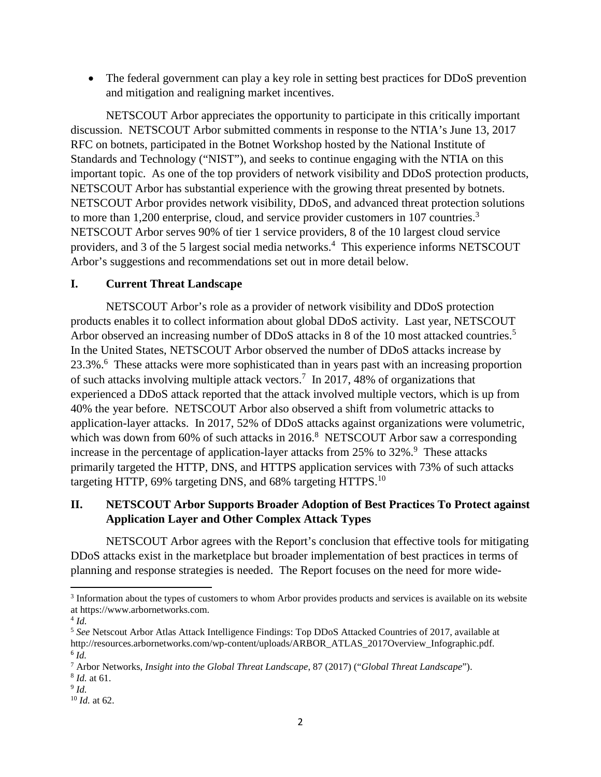• The federal government can play a key role in setting best practices for DDoS prevention and mitigation and realigning market incentives.

NETSCOUT Arbor appreciates the opportunity to participate in this critically important discussion. NETSCOUT Arbor submitted comments in response to the NTIA's June 13, 2017 RFC on botnets, participated in the Botnet Workshop hosted by the National Institute of Standards and Technology ("NIST"), and seeks to continue engaging with the NTIA on this important topic. As one of the top providers of network visibility and DDoS protection products, NETSCOUT Arbor has substantial experience with the growing threat presented by botnets. NETSCOUT Arbor provides network visibility, DDoS, and advanced threat protection solutions to more than 1,200 enterprise, cloud, and service provider customers in 107 countries.<sup>3</sup> NETSCOUT Arbor serves 90% of tier 1 service providers, 8 of the 10 largest cloud service providers, and 3 of the 5 largest social media networks.<sup>4</sup> This experience informs NETSCOUT Arbor's suggestions and recommendations set out in more detail below.

# **I. Current Threat Landscape**

NETSCOUT Arbor's role as a provider of network visibility and DDoS protection products enables it to collect information about global DDoS activity. Last year, NETSCOUT Arbor observed an increasing number of DDoS attacks in 8 of the 10 most attacked countries.<sup>5</sup> In the United States, NETSCOUT Arbor observed the number of DDoS attacks increase by 23.3%.<sup>6</sup> These attacks were more sophisticated than in years past with an increasing proportion of such attacks involving multiple attack vectors.<sup>7</sup> In 2017, 48% of organizations that experienced a DDoS attack reported that the attack involved multiple vectors, which is up from 40% the year before. NETSCOUT Arbor also observed a shift from volumetric attacks to application-layer attacks. In 2017, 52% of DDoS attacks against organizations were volumetric, which was down from  $60\%$  of such attacks in 2016.<sup>8</sup> NETSCOUT Arbor saw a corresponding increase in the percentage of application-layer attacks from  $25\%$  to  $32\%$ .<sup>9</sup> These attacks primarily targeted the HTTP, DNS, and HTTPS application services with 73% of such attacks targeting HTTP, 69% targeting DNS, and 68% targeting HTTPS.<sup>10</sup>

# **II. NETSCOUT Arbor Supports Broader Adoption of Best Practices To Protect against Application Layer and Other Complex Attack Types**

NETSCOUT Arbor agrees with the Report's conclusion that effective tools for mitigating DDoS attacks exist in the marketplace but broader implementation of best practices in terms of planning and response strategies is needed. The Report focuses on the need for more wide-

- 8 *Id.* at 61.
- 9 *Id.*

<sup>&</sup>lt;sup>3</sup> Information about the types of customers to whom Arbor provides products and services is available on its website at https://www.arbornetworks.com.

<sup>4</sup> *Id.*

<sup>5</sup> *See* Netscout Arbor Atlas Attack Intelligence Findings: Top DDoS Attacked Countries of 2017, available at http://resources.arbornetworks.com/wp-content/uploads/ARBOR\_ATLAS\_2017Overview\_Infographic.pdf. 6 *Id.*

<sup>7</sup> Arbor Networks, *Insight into the Global Threat Landscape*, 87 (2017) ("*Global Threat Landscape*").

<sup>10</sup> *Id.* at 62.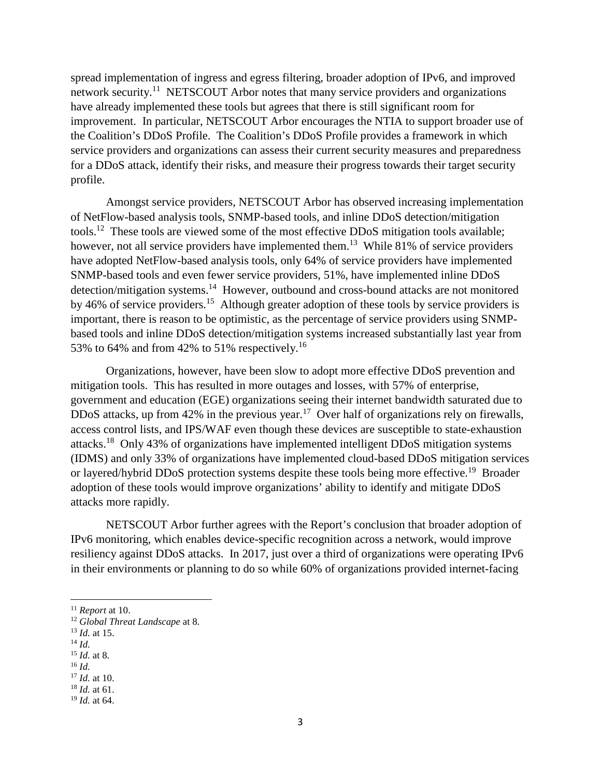spread implementation of ingress and egress filtering, broader adoption of IPv6, and improved network security.<sup>11</sup> NETSCOUT Arbor notes that many service providers and organizations have already implemented these tools but agrees that there is still significant room for improvement. In particular, NETSCOUT Arbor encourages the NTIA to support broader use of the Coalition's DDoS Profile. The Coalition's DDoS Profile provides a framework in which service providers and organizations can assess their current security measures and preparedness for a DDoS attack, identify their risks, and measure their progress towards their target security profile.

Amongst service providers, NETSCOUT Arbor has observed increasing implementation of NetFlow-based analysis tools, SNMP-based tools, and inline DDoS detection/mitigation tools.<sup>12</sup> These tools are viewed some of the most effective DDoS mitigation tools available; however, not all service providers have implemented them.<sup>13</sup> While 81% of service providers have adopted NetFlow-based analysis tools, only 64% of service providers have implemented SNMP-based tools and even fewer service providers, 51%, have implemented inline DDoS detection/mitigation systems.<sup>14</sup> However, outbound and cross-bound attacks are not monitored by 46% of service providers.<sup>15</sup> Although greater adoption of these tools by service providers is important, there is reason to be optimistic, as the percentage of service providers using SNMPbased tools and inline DDoS detection/mitigation systems increased substantially last year from 53% to 64% and from 42% to 51% respectively.<sup>16</sup>

Organizations, however, have been slow to adopt more effective DDoS prevention and mitigation tools. This has resulted in more outages and losses, with 57% of enterprise, government and education (EGE) organizations seeing their internet bandwidth saturated due to DDoS attacks, up from 42% in the previous year.<sup>17</sup> Over half of organizations rely on firewalls, access control lists, and IPS/WAF even though these devices are susceptible to state-exhaustion attacks.<sup>18</sup> Only 43% of organizations have implemented intelligent DDoS mitigation systems (IDMS) and only 33% of organizations have implemented cloud-based DDoS mitigation services or layered/hybrid DDoS protection systems despite these tools being more effective.<sup>19</sup> Broader adoption of these tools would improve organizations' ability to identify and mitigate DDoS attacks more rapidly.

NETSCOUT Arbor further agrees with the Report's conclusion that broader adoption of IPv6 monitoring, which enables device-specific recognition across a network, would improve resiliency against DDoS attacks. In 2017, just over a third of organizations were operating IPv6 in their environments or planning to do so while 60% of organizations provided internet-facing

- <sup>14</sup> *Id.*
- <sup>15</sup> *Id.* at 8.

<sup>17</sup> *Id.* at 10. <sup>18</sup> *Id.* at 61.

<sup>11</sup> *Report* at 10.

<sup>12</sup> *Global Threat Landscape* at 8.

<sup>13</sup> *Id.* at 15.

<sup>16</sup> *Id.*

<sup>19</sup> *Id.* at 64.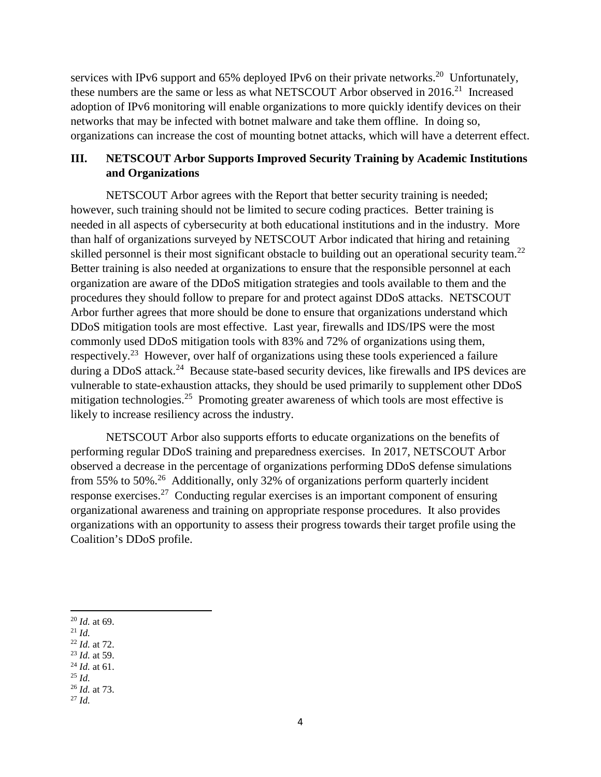services with IPv6 support and 65% deployed IPv6 on their private networks.<sup>20</sup> Unfortunately, these numbers are the same or less as what NETSCOUT Arbor observed in 2016.<sup>21</sup> Increased adoption of IPv6 monitoring will enable organizations to more quickly identify devices on their networks that may be infected with botnet malware and take them offline. In doing so, organizations can increase the cost of mounting botnet attacks, which will have a deterrent effect.

# **III. NETSCOUT Arbor Supports Improved Security Training by Academic Institutions and Organizations**

NETSCOUT Arbor agrees with the Report that better security training is needed; however, such training should not be limited to secure coding practices. Better training is needed in all aspects of cybersecurity at both educational institutions and in the industry. More than half of organizations surveyed by NETSCOUT Arbor indicated that hiring and retaining skilled personnel is their most significant obstacle to building out an operational security team.<sup>22</sup> Better training is also needed at organizations to ensure that the responsible personnel at each organization are aware of the DDoS mitigation strategies and tools available to them and the procedures they should follow to prepare for and protect against DDoS attacks. NETSCOUT Arbor further agrees that more should be done to ensure that organizations understand which DDoS mitigation tools are most effective. Last year, firewalls and IDS/IPS were the most commonly used DDoS mitigation tools with 83% and 72% of organizations using them, respectively.<sup>23</sup> However, over half of organizations using these tools experienced a failure during a DDoS attack.<sup>24</sup> Because state-based security devices, like firewalls and IPS devices are vulnerable to state-exhaustion attacks, they should be used primarily to supplement other DDoS mitigation technologies.<sup>25</sup> Promoting greater awareness of which tools are most effective is likely to increase resiliency across the industry.

NETSCOUT Arbor also supports efforts to educate organizations on the benefits of performing regular DDoS training and preparedness exercises. In 2017, NETSCOUT Arbor observed a decrease in the percentage of organizations performing DDoS defense simulations from 55% to 50%.<sup>26</sup> Additionally, only 32% of organizations perform quarterly incident response exercises.<sup>27</sup> Conducting regular exercises is an important component of ensuring organizational awareness and training on appropriate response procedures. It also provides organizations with an opportunity to assess their progress towards their target profile using the Coalition's DDoS profile.

- <sup>21</sup> *Id.*
- <sup>22</sup> *Id.* at 72.
- <sup>23</sup> *Id.* at 59.
- <sup>24</sup> *Id.* at 61. <sup>25</sup> *Id.*
- <sup>26</sup> *Id.* at 73.
- <sup>27</sup> *Id.*

<sup>20</sup> *Id.* at 69.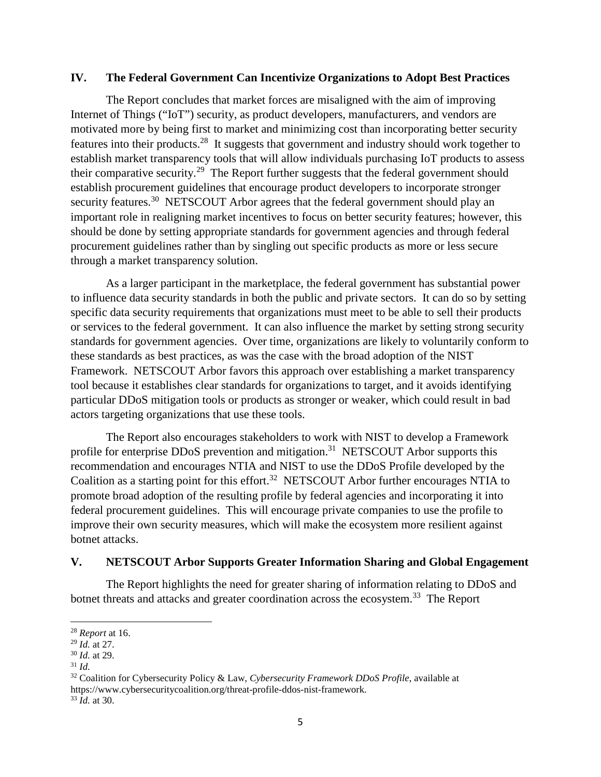#### **IV. The Federal Government Can Incentivize Organizations to Adopt Best Practices**

The Report concludes that market forces are misaligned with the aim of improving Internet of Things ("IoT") security, as product developers, manufacturers, and vendors are motivated more by being first to market and minimizing cost than incorporating better security features into their products.<sup>28</sup> It suggests that government and industry should work together to establish market transparency tools that will allow individuals purchasing IoT products to assess their comparative security.<sup>29</sup> The Report further suggests that the federal government should establish procurement guidelines that encourage product developers to incorporate stronger security features.<sup>30</sup> NETSCOUT Arbor agrees that the federal government should play an important role in realigning market incentives to focus on better security features; however, this should be done by setting appropriate standards for government agencies and through federal procurement guidelines rather than by singling out specific products as more or less secure through a market transparency solution.

As a larger participant in the marketplace, the federal government has substantial power to influence data security standards in both the public and private sectors. It can do so by setting specific data security requirements that organizations must meet to be able to sell their products or services to the federal government. It can also influence the market by setting strong security standards for government agencies. Over time, organizations are likely to voluntarily conform to these standards as best practices, as was the case with the broad adoption of the NIST Framework. NETSCOUT Arbor favors this approach over establishing a market transparency tool because it establishes clear standards for organizations to target, and it avoids identifying particular DDoS mitigation tools or products as stronger or weaker, which could result in bad actors targeting organizations that use these tools.

The Report also encourages stakeholders to work with NIST to develop a Framework profile for enterprise DDoS prevention and mitigation.<sup>31</sup> NETSCOUT Arbor supports this recommendation and encourages NTIA and NIST to use the DDoS Profile developed by the Coalition as a starting point for this effort.<sup>32</sup> NETSCOUT Arbor further encourages NTIA to promote broad adoption of the resulting profile by federal agencies and incorporating it into federal procurement guidelines. This will encourage private companies to use the profile to improve their own security measures, which will make the ecosystem more resilient against botnet attacks.

# **V. NETSCOUT Arbor Supports Greater Information Sharing and Global Engagement**

The Report highlights the need for greater sharing of information relating to DDoS and botnet threats and attacks and greater coordination across the ecosystem.<sup>33</sup> The Report

<sup>28</sup> *Report* at 16.

<sup>29</sup> *Id.* at 27.

<sup>30</sup> *Id.* at 29.

<sup>31</sup> *Id.*

<sup>32</sup> Coalition for Cybersecurity Policy & Law, *Cybersecurity Framework DDoS Profile*, available at https://www.cybersecuritycoalition.org/threat-profile-ddos-nist-framework. <sup>33</sup> *Id.* at 30.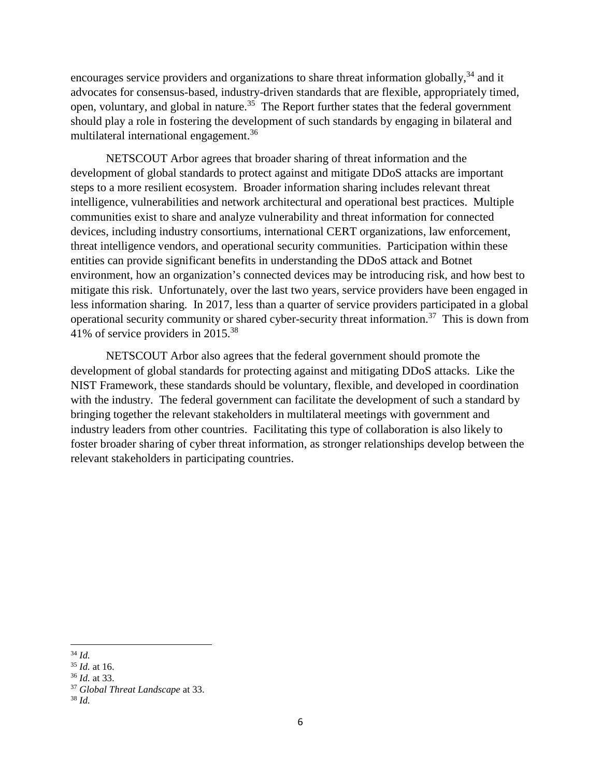encourages service providers and organizations to share threat information globally,<sup>34</sup> and it advocates for consensus-based, industry-driven standards that are flexible, appropriately timed, open, voluntary, and global in nature.<sup>35</sup> The Report further states that the federal government should play a role in fostering the development of such standards by engaging in bilateral and multilateral international engagement.<sup>36</sup>

NETSCOUT Arbor agrees that broader sharing of threat information and the development of global standards to protect against and mitigate DDoS attacks are important steps to a more resilient ecosystem. Broader information sharing includes relevant threat intelligence, vulnerabilities and network architectural and operational best practices. Multiple communities exist to share and analyze vulnerability and threat information for connected devices, including industry consortiums, international CERT organizations, law enforcement, threat intelligence vendors, and operational security communities. Participation within these entities can provide significant benefits in understanding the DDoS attack and Botnet environment, how an organization's connected devices may be introducing risk, and how best to mitigate this risk. Unfortunately, over the last two years, service providers have been engaged in less information sharing. In 2017, less than a quarter of service providers participated in a global operational security community or shared cyber-security threat information.<sup>37</sup> This is down from 41% of service providers in 2015.<sup>38</sup>

NETSCOUT Arbor also agrees that the federal government should promote the development of global standards for protecting against and mitigating DDoS attacks. Like the NIST Framework, these standards should be voluntary, flexible, and developed in coordination with the industry. The federal government can facilitate the development of such a standard by bringing together the relevant stakeholders in multilateral meetings with government and industry leaders from other countries. Facilitating this type of collaboration is also likely to foster broader sharing of cyber threat information, as stronger relationships develop between the relevant stakeholders in participating countries.

<sup>34</sup> *Id.*

<sup>35</sup> *Id.* at 16.

<sup>36</sup> *Id.* at 33.

<sup>37</sup> *Global Threat Landscape* at 33.

<sup>38</sup> *Id.*